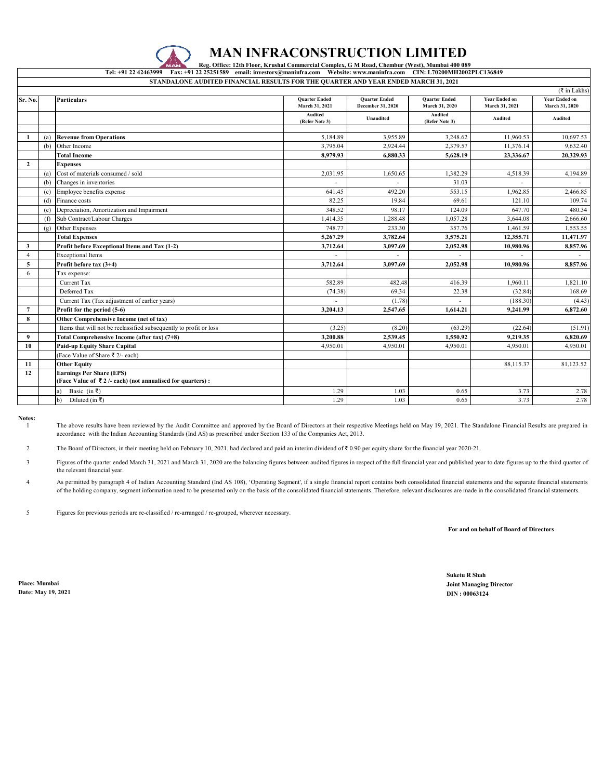

## **MAN INFRACONSTRUCTION LIMITED**

**Reg. Office: 12th Floor, Krushal Commercial Complex, G M Road, Chembur (West), Mumbai 400 089**<br>Tel: +91 22 42463999 Fax: +91 22 25251589 email: investors@maninfra.com Website: www.maninfra.com CIN: L70200MH2002 **Tel: +91 22 42463999 Fax: +91 22 25251589 email: investors@maninfra.com Website: www.maninfra.com CIN: L70200MH2002PLC136849 STANDALONE AUDITED FINANCIAL RESULTS FOR THE QUARTER AND YEAR ENDED MARCH 31, 2021**

| $(\overline{\tau}$ in Lakhs) |     |                                                                                               |                                        |                                           |                                        |                                        |                                        |  |  |  |
|------------------------------|-----|-----------------------------------------------------------------------------------------------|----------------------------------------|-------------------------------------------|----------------------------------------|----------------------------------------|----------------------------------------|--|--|--|
| Sr. No.                      |     | <b>Particulars</b>                                                                            | <b>Quarter Ended</b><br>March 31, 2021 | <b>Quarter Ended</b><br>December 31, 2020 | <b>Quarter Ended</b><br>March 31, 2020 | <b>Year Ended on</b><br>March 31, 2021 | <b>Year Ended on</b><br>March 31, 2020 |  |  |  |
|                              |     |                                                                                               | <b>Audited</b><br>(Refer Note 3)       | Unaudited                                 | <b>Audited</b><br>(Refer Note 3)       | Audited                                | Audited                                |  |  |  |
|                              |     |                                                                                               |                                        |                                           |                                        |                                        |                                        |  |  |  |
| -1                           | (a) | <b>Revenue from Operations</b>                                                                | 5.184.89                               | 3.955.89                                  | 3,248.62                               | 11.960.53                              | 10,697.53                              |  |  |  |
|                              | (b) | Other Income                                                                                  | 3,795.04                               | 2,924.44                                  | 2,379.57                               | 11,376.14                              | 9,632.40                               |  |  |  |
|                              |     | <b>Total Income</b>                                                                           | 8.979.93                               | 6.880.33                                  | 5,628.19                               | 23.336.67                              | 20,329.93                              |  |  |  |
| $\overline{2}$               |     | <b>Expenses</b>                                                                               |                                        |                                           |                                        |                                        |                                        |  |  |  |
|                              | (a) | Cost of materials consumed / sold                                                             | 2,031.95                               | 1,650.65                                  | 1,382.29                               | 4,518.39                               | 4,194.89                               |  |  |  |
|                              | (b) | Changes in inventories                                                                        |                                        |                                           | 31.03                                  |                                        |                                        |  |  |  |
|                              | (c) | Employee benefits expense                                                                     | 641.45                                 | 492.20                                    | 553.15                                 | 1,962.85                               | 2,466.85                               |  |  |  |
|                              | (d) | Finance costs                                                                                 | 82.25                                  | 19.84                                     | 69.61                                  | 121.10                                 | 109.74                                 |  |  |  |
|                              | (e) | Depreciation, Amortization and Impairment                                                     | 348.52                                 | 98.17                                     | 124.09                                 | 647.70                                 | 480.34                                 |  |  |  |
|                              | (f) | Sub Contract/Labour Charges                                                                   | 1.414.35                               | 1,288.48                                  | 1.057.28                               | 3.644.08                               | 2,666.60                               |  |  |  |
|                              | (g) | Other Expenses                                                                                | 748.77                                 | 233.30                                    | 357.76                                 | 1,461.59                               | 1,553.55                               |  |  |  |
|                              |     | <b>Total Expenses</b>                                                                         | 5,267.29                               | 3,782.64                                  | 3,575.21                               | 12,355.71                              | 11,471.97                              |  |  |  |
| 3                            |     | Profit before Exceptional Items and Tax (1-2)                                                 | 3,712.64                               | 3,097.69                                  | 2,052.98                               | 10,980.96                              | 8,857.96                               |  |  |  |
| $\overline{4}$               |     | <b>Exceptional Items</b>                                                                      |                                        |                                           |                                        |                                        |                                        |  |  |  |
| 5                            |     | Profit before tax (3+4)                                                                       | 3,712.64                               | 3.097.69                                  | 2.052.98                               | 10.980.96                              | 8.857.96                               |  |  |  |
| 6                            |     | Tax expense:                                                                                  |                                        |                                           |                                        |                                        |                                        |  |  |  |
|                              |     | Current Tax                                                                                   | 582.89                                 | 482.48                                    | 416.39                                 | 1.960.11                               | 1,821.10                               |  |  |  |
|                              |     | Deferred Tax                                                                                  | (74.38)                                | 69.34                                     | 22.38                                  | (32.84)                                | 168.69                                 |  |  |  |
|                              |     | Current Tax (Tax adjustment of earlier years)                                                 |                                        | (1.78)                                    |                                        | (188.30)                               | (4.43)                                 |  |  |  |
| $7\phantom{.0}$              |     | Profit for the period (5-6)                                                                   | 3,204.13                               | 2,547.65                                  | 1,614.21                               | 9,241.99                               | 6,872.60                               |  |  |  |
| 8                            |     | Other Comprehensive Income (net of tax)                                                       |                                        |                                           |                                        |                                        |                                        |  |  |  |
|                              |     | Items that will not be reclassified subsequently to profit or loss                            | (3.25)                                 | (8.20)                                    | (63.29)                                | (22.64)                                | (51.91)                                |  |  |  |
| 9                            |     | Total Comprehensive Income (after tax) (7+8)                                                  | 3,200.88                               | 2,539.45                                  | 1,550.92                               | 9,219.35                               | 6,820.69                               |  |  |  |
| 10                           |     | <b>Paid-up Equity Share Capital</b>                                                           | 4.950.01                               | 4,950.01                                  | 4.950.01                               | 4,950.01                               | 4,950.01                               |  |  |  |
|                              |     | (Face Value of Share ₹ 2/- each)                                                              |                                        |                                           |                                        |                                        |                                        |  |  |  |
| 11                           |     | <b>Other Equity</b>                                                                           |                                        |                                           |                                        | 88,115.37                              | 81,123.52                              |  |  |  |
| 12                           |     | <b>Earnings Per Share (EPS)</b><br>(Face Value of ₹2 /- each) (not annualised for quarters) : |                                        |                                           |                                        |                                        |                                        |  |  |  |
|                              |     | Basic (in ₹)<br>a)                                                                            | 1.29                                   | 1.03                                      | 0.65                                   | 3.73                                   | 2.78                                   |  |  |  |
|                              |     | Diluted (in ₹)<br>b)                                                                          | 1.29                                   | 1.03                                      | 0.65                                   | 3.73                                   | 2.78                                   |  |  |  |
|                              |     |                                                                                               |                                        |                                           |                                        |                                        |                                        |  |  |  |

**Notes:** 1

The above results have been reviewed by the Audit Committee and approved by the Board of Directors at their respective Meetings held on May 19, 2021. The Standalone Financial Results are prepared in accordance with the Indian Accounting Standards (Ind AS) as prescribed under Section 133 of the Companies Act, 2013.

 $\overline{2}$ The Board of Directors, in their meeting held on February 10, 2021, had declared and paid an interim dividend of ₹ 0.90 per equity share for the financial year 2020-21.

3 Figures of the quarter ended March 31, 2021 and March 31, 2020 are the balancing figures between audited figures in respect of the full financial year and published year to date figures up to the third quarter of the relevant financial year.

4 As permitted by paragraph 4 of Indian Accounting Standard (Ind AS 108), 'Operating Segment', if a single financial report contains both consolidated financial statements and the separate financial statements of the holding company, segment information need to be presented only on the basis of the consolidated financial statements. Therefore, relevant disclosures are made in the consolidated financial statements.

5 Figures for previous periods are re-classified / re-arranged / re-grouped, wherever necessary.

 **For and on behalf of Board of Directors**

**Date: May 19, 2021 DIN : 00063124**

**Suketu R Shah Place: Mumbai Joint Managing Director**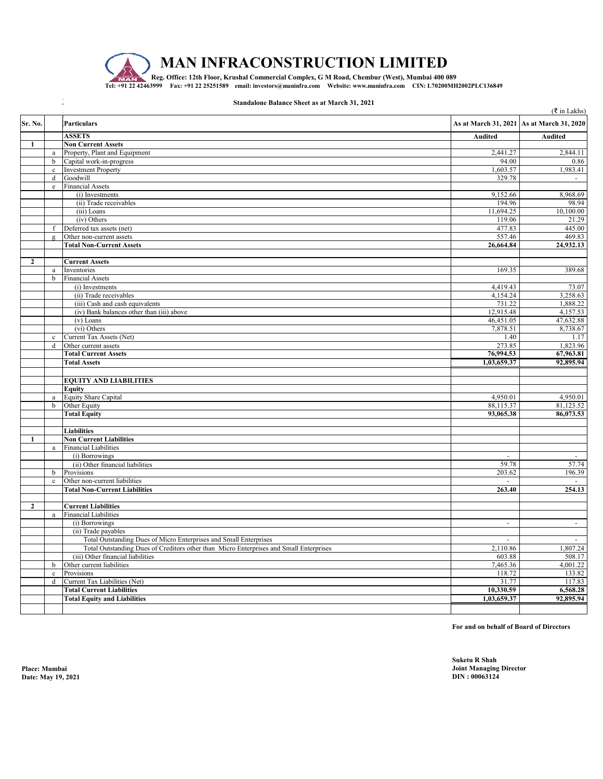

÷,

**MAN INFRACONSTRUCTION LIMITED**

**Tel: +91 22 42463999 Fax: +91 22 25251589 email: investors@maninfra.com Website: www.maninfra.com CIN: L70200MH2002PLC136849** Reg. Office: 12th Floor, Krushal Commercial Complex, G M Road, Chembur (West), Mumbai 400 089

## **Standalone Balance Sheet as at March 31, 2021**

|              |              |                                                                                        |                | $(\xi$ in Lakhs)                          |  |
|--------------|--------------|----------------------------------------------------------------------------------------|----------------|-------------------------------------------|--|
| Sr. No.      |              | <b>Particulars</b>                                                                     |                | As at March 31, 2021 As at March 31, 2020 |  |
|              |              | <b>ASSETS</b>                                                                          | <b>Audited</b> | <b>Audited</b>                            |  |
| $\mathbf{1}$ |              | <b>Non Current Assets</b>                                                              |                |                                           |  |
|              | a            | Property, Plant and Equipment                                                          | 2,441.27       | 2,844.11                                  |  |
|              | $\mathbf b$  | Capital work-in-progress                                                               | 94.00          | 0.86                                      |  |
|              | $\mathbf c$  | <b>Investment Property</b>                                                             | 1,603.57       | 1,983.41                                  |  |
|              | $\mathbf d$  | Goodwill                                                                               | 329.78         |                                           |  |
|              | $\rm e$      | <b>Financial Assets</b>                                                                |                |                                           |  |
|              |              | (i) Investments                                                                        | 9,152.66       | 8,968.69                                  |  |
|              |              | (ii) Trade receivables                                                                 | 194.96         | 98.94                                     |  |
|              |              | (iii) Loans                                                                            | 11,694.25      | 10,100.00                                 |  |
|              |              | (iv) Others                                                                            | 119.06         | 21.29                                     |  |
|              | $\mathbf f$  | Deferred tax assets (net)                                                              | 477.83         | 445.00                                    |  |
|              | $\mathbf{g}$ | Other non-current assets                                                               | 557.46         | 469.83                                    |  |
|              |              | <b>Total Non-Current Assets</b>                                                        | 26,664.84      | 24,932.13                                 |  |
| $\mathbf{2}$ |              |                                                                                        |                |                                           |  |
|              |              | <b>Current Assets</b>                                                                  |                |                                           |  |
|              | $\rm{a}$     | Inventories                                                                            | 169.35         | 389.68                                    |  |
|              | $\mathbf b$  | <b>Financial Assets</b>                                                                |                |                                           |  |
|              |              | (i) Investments                                                                        | 4,419.43       | 73.07                                     |  |
|              |              | (ii) Trade receivables                                                                 | 4,154.24       | 3,258.63                                  |  |
|              |              | (iii) Cash and cash equivalents                                                        | 731.22         | 1,888.22                                  |  |
|              |              | (iv) Bank balances other than (iii) above                                              | 12,915.48      | 4,157.53                                  |  |
|              |              | $(v)$ Loans                                                                            | 46,451.05      | 47,632.88                                 |  |
|              |              | (vi) Others                                                                            | 7,878.51       | 8,738.67                                  |  |
|              | $\mathbf c$  | Current Tax Assets (Net)                                                               | 1.40           | 1.17                                      |  |
|              | $\mathbf d$  | Other current assets                                                                   | 273.85         | 1,823.96                                  |  |
|              |              | <b>Total Current Assets</b>                                                            | 76,994.53      | 67,963.81                                 |  |
|              |              | <b>Total Assets</b>                                                                    | 1,03,659.37    | 92,895.94                                 |  |
|              |              |                                                                                        |                |                                           |  |
|              |              | <b>EQUITY AND LIABILITIES</b>                                                          |                |                                           |  |
|              |              | <b>Equity</b>                                                                          |                |                                           |  |
|              | $\mathbf{a}$ | <b>Equity Share Capital</b>                                                            | 4.950.01       | 4,950.01                                  |  |
|              | $\mathbf b$  | Other Equity                                                                           | 88,115.37      | 81,123.52                                 |  |
|              |              | <b>Total Equity</b>                                                                    | 93,065.38      | 86,073.53                                 |  |
|              |              |                                                                                        |                |                                           |  |
|              |              | <b>Liabilities</b>                                                                     |                |                                           |  |
| $\mathbf{1}$ |              | <b>Non Current Liabilities</b>                                                         |                |                                           |  |
|              | $\mathbf{a}$ | <b>Financial Liabilities</b>                                                           | $\overline{a}$ |                                           |  |
|              |              | (i) Borrowings<br>(ii) Other financial liabilities                                     | 59.78          | 57.74                                     |  |
|              | $\mathbf b$  | Provisions                                                                             | 203.62         | 196.39                                    |  |
|              | $\mathbf c$  | Other non-current liabilities                                                          |                |                                           |  |
|              |              | <b>Total Non-Current Liabilities</b>                                                   | 263.40         | 254.13                                    |  |
|              |              |                                                                                        |                |                                           |  |
| $\mathbf{2}$ |              | <b>Current Liabilities</b>                                                             |                |                                           |  |
|              | $\mathbf{a}$ | <b>Financial Liabilities</b>                                                           |                |                                           |  |
|              |              | (i) Borrowings                                                                         | $\omega$       | $\sim$                                    |  |
|              |              | (ii) Trade payables                                                                    |                |                                           |  |
|              |              | Total Outstanding Dues of Micro Enterprises and Small Enterprises                      | $\overline{a}$ | $\mathbb{Z}^+$                            |  |
|              |              | Total Outstanding Dues of Creditors other than Micro Enterprises and Small Enterprises | 2,110.86       | 1,807.24                                  |  |
|              |              | (iii) Other financial liabilities                                                      | 603.88         | 508.17                                    |  |
|              | $\mathbf b$  | Other current liabilities                                                              | 7,465.36       | 4,001.22                                  |  |
|              | $\mathbf c$  | Provisions                                                                             | 118.72         | 133.82                                    |  |
|              | $\mathbf d$  | Current Tax Liabilities (Net)                                                          | 31.77          | 117.83                                    |  |
|              |              | <b>Total Current Liabilities</b>                                                       | 10,330.59      | 6,568.28                                  |  |
|              |              | <b>Total Equity and Liabilities</b>                                                    | 1,03,659.37    | 92,895.94                                 |  |
|              |              |                                                                                        |                |                                           |  |

**For and on behalf of Board of Directors**

**Date: May 19, 2021**